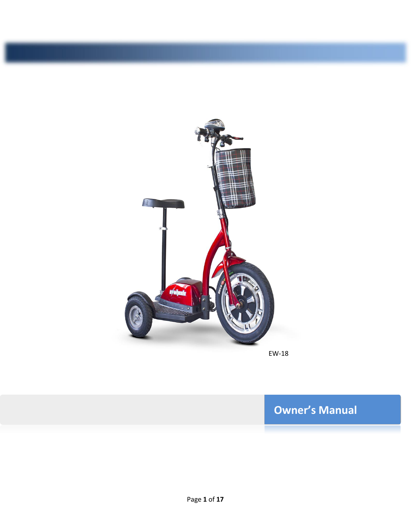

**EW-18** 

EW-18

# **Owner's Manual**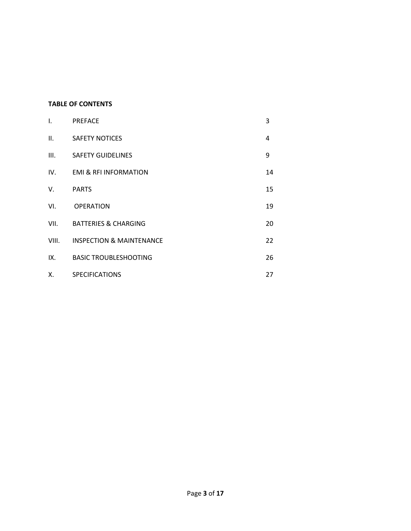## **TABLE OF CONTENTS**

| $\mathbf{L}$ | <b>PREFACE</b>                      | 3              |
|--------------|-------------------------------------|----------------|
| II.          | <b>SAFETY NOTICES</b>               | $\overline{4}$ |
| III.         | <b>SAFETY GUIDELINES</b>            | 9              |
| IV.          | <b>EMI &amp; RFI INFORMATION</b>    | 14             |
| V.           | <b>PARTS</b>                        | 15             |
| VI.          | <b>OPERATION</b>                    | 19             |
| VII.         | BATTERIES & CHARGING                | 20             |
| VIII.        | <b>INSPECTION &amp; MAINTENANCE</b> | 22             |
| IX.          | <b>BASIC TROUBLESHOOTING</b>        | 26             |
| Χ.           | <b>SPECIFICATIONS</b>               | 27             |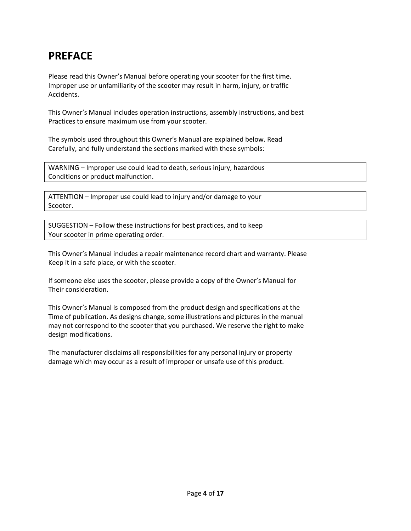# **EW-18 PREFACE**

Please read this Owner's Manual before operating your scooter for the first time. Improper use or unfamiliarity of the scooter may result in harm, injury, or traffic Accidents.

This Owner's Manual includes operation instructions, assembly instructions, and best Practices to ensure maximum use from your scooter.

The symbols used throughout this Owner's Manual are explained below. Read Carefully, and fully understand the sections marked with these symbols:

WARNING – Improper use could lead to death, serious injury, hazardous Conditions or product malfunction.

ATTENTION – Improper use could lead to injury and/or damage to your Scooter.

SUGGESTION – Follow these instructions for best practices, and to keep Your scooter in prime operating order.

This Owner's Manual includes a repair maintenance record chart and warranty. Please Keep it in a safe place, or with the scooter.

If someone else uses the scooter, please provide a copy of the Owner's Manual for Their consideration.

This Owner's Manual is composed from the product design and specifications at the Time of publication. As designs change, some illustrations and pictures in the manual may not correspond to the scooter that you purchased. We reserve the right to make design modifications.

The manufacturer disclaims all responsibilities for any personal injury or property damage which may occur as a result of improper or unsafe use of this product.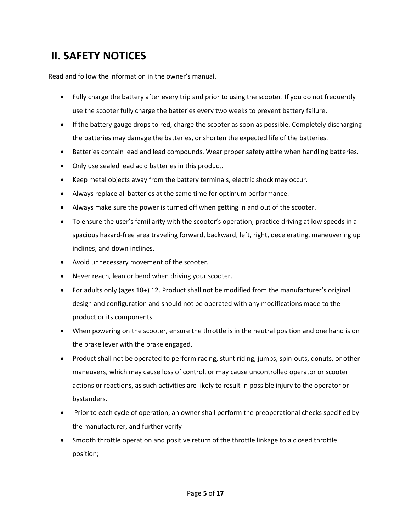# **EW-18 II. SAFETY NOTICES**

Read and follow the information in the owner's manual.

- Fully charge the battery after every trip and prior to using the scooter. If you do not frequently use the scooter fully charge the batteries every two weeks to prevent battery failure.
- If the battery gauge drops to red, charge the scooter as soon as possible. Completely discharging the batteries may damage the batteries, or shorten the expected life of the batteries.
- Batteries contain lead and lead compounds. Wear proper safety attire when handling batteries.
- Only use sealed lead acid batteries in this product.
- Keep metal objects away from the battery terminals, electric shock may occur.
- Always replace all batteries at the same time for optimum performance.
- Always make sure the power is turned off when getting in and out of the scooter.
- To ensure the user's familiarity with the scooter's operation, practice driving at low speeds in a spacious hazard-free area traveling forward, backward, left, right, decelerating, maneuvering up inclines, and down inclines.
- Avoid unnecessary movement of the scooter.
- Never reach, lean or bend when driving your scooter.
- For adults only (ages 18+) 12. Product shall not be modified from the manufacturer's original design and configuration and should not be operated with any modifications made to the product or its components.
- When powering on the scooter, ensure the throttle is in the neutral position and one hand is on the brake lever with the brake engaged.
- Product shall not be operated to perform racing, stunt riding, jumps, spin-outs, donuts, or other maneuvers, which may cause loss of control, or may cause uncontrolled operator or scooter actions or reactions, as such activities are likely to result in possible injury to the operator or bystanders.
- Prior to each cycle of operation, an owner shall perform the preoperational checks specified by the manufacturer, and further verify
- Smooth throttle operation and positive return of the throttle linkage to a closed throttle position;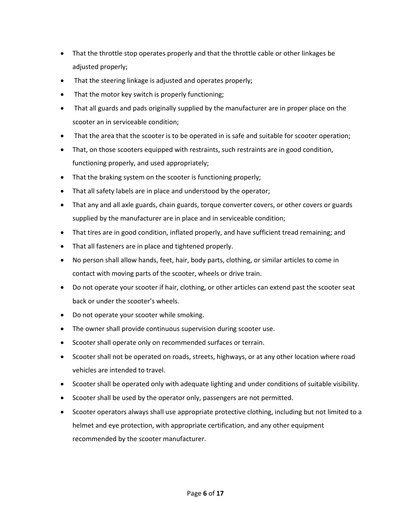- **EW-18**  That the throttle stop operates properly and that the throttle cable or other linkages be adjusted properly;
	- That the steering linkage is adjusted and operates properly;
	- That the motor key switch is properly functioning;
	- That all guards and pads originally supplied by the manufacturer are in proper place on the scooter an in serviceable condition;
	- That the area that the scooter is to be operated in is safe and suitable for scooter operation;
	- That, on those scooters equipped with restraints, such restraints are in good condition, functioning properly, and used appropriately;
	- That the braking system on the scooter is functioning properly;
	- That all safety labels are in place and understood by the operator;
	- That any and all axle guards, chain guards, torque converter covers, or other covers or guards supplied by the manufacturer are in place and in serviceable condition;
	- That tires are in good condition, inflated properly, and have sufficient tread remaining; and
	- That all fasteners are in place and tightened properly.
	- No person shall allow hands, feet, hair, body parts, clothing, or similar articles to come in contact with moving parts of the scooter, wheels or drive train.
	- Do not operate your scooter if hair, clothing, or other articles can extend past the scooter seat back or under the scooter's wheels.
	- Do not operate your scooter while smoking.
	- The owner shall provide continuous supervision during scooter use.
	- Scooter shall operate only on recommended surfaces or terrain.
	- Scooter shall not be operated on roads, streets, highways, or at any other location where road vehicles are intended to travel.
	- Scooter shall be operated only with adequate lighting and under conditions of suitable visibility.
	- Scooter shall be used by the operator only, passengers are not permitted.
	- Scooter operators always shall use appropriate protective clothing, including but not limited to a helmet and eye protection, with appropriate certification, and any other equipment recommended by the scooter manufacturer.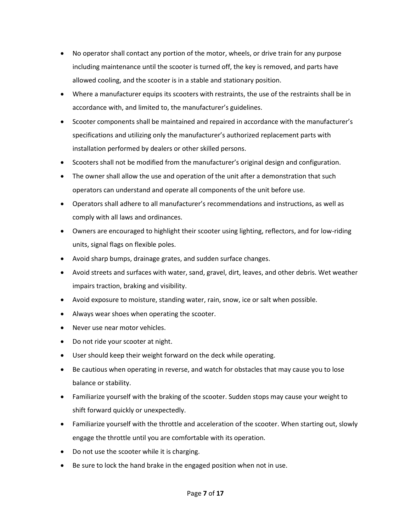- **EW-18**  No operator shall contact any portion of the motor, wheels, or drive train for any purpose including maintenance until the scooter is turned off, the key is removed, and parts have allowed cooling, and the scooter is in a stable and stationary position.
	- Where a manufacturer equips its scooters with restraints, the use of the restraints shall be in accordance with, and limited to, the manufacturer's guidelines.
	- Scooter components shall be maintained and repaired in accordance with the manufacturer's specifications and utilizing only the manufacturer's authorized replacement parts with installation performed by dealers or other skilled persons.
	- Scooters shall not be modified from the manufacturer's original design and configuration.
	- The owner shall allow the use and operation of the unit after a demonstration that such operators can understand and operate all components of the unit before use.
	- Operators shall adhere to all manufacturer's recommendations and instructions, as well as comply with all laws and ordinances.
	- Owners are encouraged to highlight their scooter using lighting, reflectors, and for low-riding units, signal flags on flexible poles.
	- Avoid sharp bumps, drainage grates, and sudden surface changes.
	- Avoid streets and surfaces with water, sand, gravel, dirt, leaves, and other debris. Wet weather impairs traction, braking and visibility.
	- Avoid exposure to moisture, standing water, rain, snow, ice or salt when possible.
	- Always wear shoes when operating the scooter.
	- Never use near motor vehicles.
	- Do not ride your scooter at night.
	- User should keep their weight forward on the deck while operating.
	- Be cautious when operating in reverse, and watch for obstacles that may cause you to lose balance or stability.
	- Familiarize yourself with the braking of the scooter. Sudden stops may cause your weight to shift forward quickly or unexpectedly.
	- Familiarize yourself with the throttle and acceleration of the scooter. When starting out, slowly engage the throttle until you are comfortable with its operation.
	- Do not use the scooter while it is charging.
	- Be sure to lock the hand brake in the engaged position when not in use.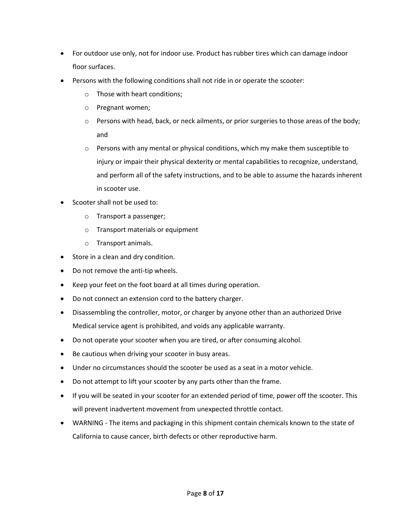- **EW-18**  For outdoor use only, not for indoor use. Product has rubber tires which can damage indoor floor surfaces.
	- Persons with the following conditions shall not ride in or operate the scooter:
		- o Those with heart conditions;
		- o Pregnant women;
		- $\circ$  Persons with head, back, or neck ailments, or prior surgeries to those areas of the body; and
		- $\circ$  Persons with any mental or physical conditions, which my make them susceptible to injury or impair their physical dexterity or mental capabilities to recognize, understand, and perform all of the safety instructions, and to be able to assume the hazards inherent in scooter use.
	- Scooter shall not be used to:
		- o Transport a passenger;
		- o Transport materials or equipment
		- o Transport animals.
	- Store in a clean and dry condition.
	- Do not remove the anti-tip wheels.
	- Keep your feet on the foot board at all times during operation.
	- Do not connect an extension cord to the battery charger.
	- Disassembling the controller, motor, or charger by anyone other than an authorized Drive Medical service agent is prohibited, and voids any applicable warranty.
	- Do not operate your scooter when you are tired, or after consuming alcohol.
	- Be cautious when driving your scooter in busy areas.
	- Under no circumstances should the scooter be used as a seat in a motor vehicle.
	- Do not attempt to lift your scooter by any parts other than the frame.
	- If you will be seated in your scooter for an extended period of time, power off the scooter. This will prevent inadvertent movement from unexpected throttle contact.
	- WARNING The items and packaging in this shipment contain chemicals known to the state of California to cause cancer, birth defects or other reproductive harm.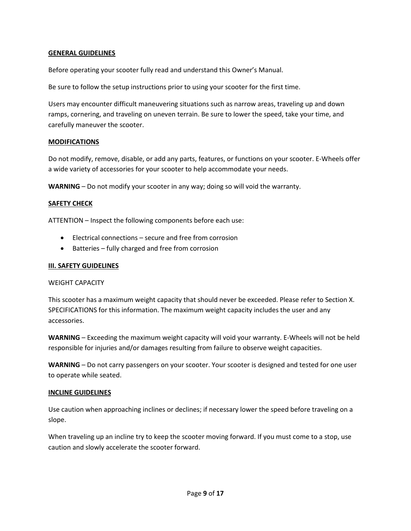# **GENERAL GUIDELINES**

Before operating your scooter fully read and understand this Owner's Manual.

Be sure to follow the setup instructions prior to using your scooter for the first time.

Users may encounter difficult maneuvering situations such as narrow areas, traveling up and down ramps, cornering, and traveling on uneven terrain. Be sure to lower the speed, take your time, and carefully maneuver the scooter.

#### **MODIFICATIONS**

Do not modify, remove, disable, or add any parts, features, or functions on your scooter. E-Wheels offer a wide variety of accessories for your scooter to help accommodate your needs.

**WARNING** – Do not modify your scooter in any way; doing so will void the warranty.

#### **SAFETY CHECK**

ATTENTION – Inspect the following components before each use:

- Electrical connections secure and free from corrosion
- Batteries fully charged and free from corrosion

#### **III. SAFETY GUIDELINES**

#### WEIGHT CAPACITY

This scooter has a maximum weight capacity that should never be exceeded. Please refer to Section X. SPECIFICATIONS for this information. The maximum weight capacity includes the user and any accessories.

**WARNING** – Exceeding the maximum weight capacity will void your warranty. E-Wheels will not be held responsible for injuries and/or damages resulting from failure to observe weight capacities.

**WARNING** – Do not carry passengers on your scooter. Your scooter is designed and tested for one user to operate while seated.

#### **INCLINE GUIDELINES**

Use caution when approaching inclines or declines; if necessary lower the speed before traveling on a slope.

When traveling up an incline try to keep the scooter moving forward. If you must come to a stop, use caution and slowly accelerate the scooter forward.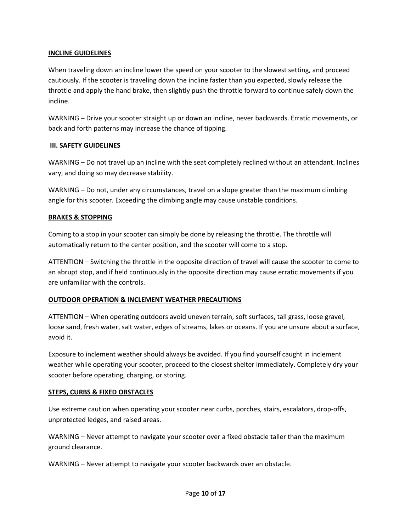# **EW-18 INCLINE GUIDELINES**

When traveling down an incline lower the speed on your scooter to the slowest setting, and proceed cautiously. If the scooter is traveling down the incline faster than you expected, slowly release the throttle and apply the hand brake, then slightly push the throttle forward to continue safely down the incline.

WARNING – Drive your scooter straight up or down an incline, never backwards. Erratic movements, or back and forth patterns may increase the chance of tipping.

#### **III. SAFETY GUIDELINES**

WARNING – Do not travel up an incline with the seat completely reclined without an attendant. Inclines vary, and doing so may decrease stability.

WARNING – Do not, under any circumstances, travel on a slope greater than the maximum climbing angle for this scooter. Exceeding the climbing angle may cause unstable conditions.

#### **BRAKES & STOPPING**

Coming to a stop in your scooter can simply be done by releasing the throttle. The throttle will automatically return to the center position, and the scooter will come to a stop.

ATTENTION – Switching the throttle in the opposite direction of travel will cause the scooter to come to an abrupt stop, and if held continuously in the opposite direction may cause erratic movements if you are unfamiliar with the controls.

#### **OUTDOOR OPERATION & INCLEMENT WEATHER PRECAUTIONS**

ATTENTION – When operating outdoors avoid uneven terrain, soft surfaces, tall grass, loose gravel, loose sand, fresh water, salt water, edges of streams, lakes or oceans. If you are unsure about a surface, avoid it.

Exposure to inclement weather should always be avoided. If you find yourself caught in inclement weather while operating your scooter, proceed to the closest shelter immediately. Completely dry your scooter before operating, charging, or storing.

#### **STEPS, CURBS & FIXED OBSTACLES**

Use extreme caution when operating your scooter near curbs, porches, stairs, escalators, drop-offs, unprotected ledges, and raised areas.

WARNING – Never attempt to navigate your scooter over a fixed obstacle taller than the maximum ground clearance.

WARNING – Never attempt to navigate your scooter backwards over an obstacle.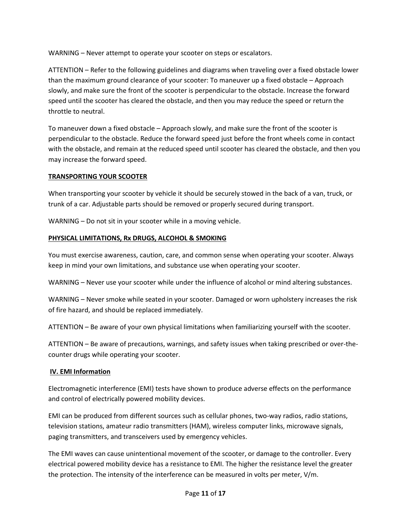WARNING - Never attempt to operate your scooter on steps or escalators.

ATTENTION – Refer to the following guidelines and diagrams when traveling over a fixed obstacle lower than the maximum ground clearance of your scooter: To maneuver up a fixed obstacle – Approach slowly, and make sure the front of the scooter is perpendicular to the obstacle. Increase the forward speed until the scooter has cleared the obstacle, and then you may reduce the speed or return the throttle to neutral.

To maneuver down a fixed obstacle – Approach slowly, and make sure the front of the scooter is perpendicular to the obstacle. Reduce the forward speed just before the front wheels come in contact with the obstacle, and remain at the reduced speed until scooter has cleared the obstacle, and then you may increase the forward speed.

#### **TRANSPORTING YOUR SCOOTER**

When transporting your scooter by vehicle it should be securely stowed in the back of a van, truck, or trunk of a car. Adjustable parts should be removed or properly secured during transport.

WARNING – Do not sit in your scooter while in a moving vehicle.

### **PHYSICAL LIMITATIONS, Rx DRUGS, ALCOHOL & SMOKING**

You must exercise awareness, caution, care, and common sense when operating your scooter. Always keep in mind your own limitations, and substance use when operating your scooter.

WARNING – Never use your scooter while under the influence of alcohol or mind altering substances.

WARNING – Never smoke while seated in your scooter. Damaged or worn upholstery increases the risk of fire hazard, and should be replaced immediately.

ATTENTION – Be aware of your own physical limitations when familiarizing yourself with the scooter.

ATTENTION – Be aware of precautions, warnings, and safety issues when taking prescribed or over-thecounter drugs while operating your scooter.

### **IV. EMI Information**

Electromagnetic interference (EMI) tests have shown to produce adverse effects on the performance and control of electrically powered mobility devices.

EMI can be produced from different sources such as cellular phones, two-way radios, radio stations, television stations, amateur radio transmitters (HAM), wireless computer links, microwave signals, paging transmitters, and transceivers used by emergency vehicles.

The EMI waves can cause unintentional movement of the scooter, or damage to the controller. Every electrical powered mobility device has a resistance to EMI. The higher the resistance level the greater the protection. The intensity of the interference can be measured in volts per meter, V/m.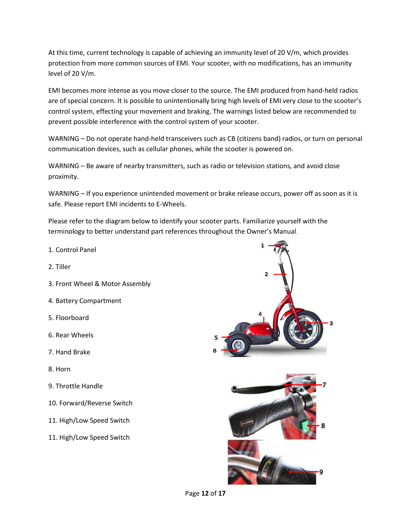At this time, current technology is capable of achieving an immunity level of 20 V/m, which provides protection from more common sources of EMI. Your scooter, with no modifications, has an immunity level of 20 V/m.

EMI becomes more intense as you move closer to the source. The EMI produced from hand-held radios are of special concern. It is possible to unintentionally bring high levels of EMI very close to the scooter's control system, effecting your movement and braking. The warnings listed below are recommended to prevent possible interference with the control system of your scooter.

WARNING – Do not operate hand-held transceivers such as CB (citizens band) radios, or turn on personal communication devices, such as cellular phones, while the scooter is powered on.

WARNING – Be aware of nearby transmitters, such as radio or television stations, and avoid close proximity.

WARNING – If you experience unintended movement or brake release occurs, power off as soon as it is safe. Please report EMI incidents to E-Wheels.

Please refer to the diagram below to identify your scooter parts. Familiarize yourself with the terminology to better understand part references throughout the Owner's Manual.

- 1. Control Panel
- 2. Tiller
- 3. Front Wheel & Motor Assembly
- 4. Battery Compartment
- 5. Floorboard
- 6. Rear Wheels
- 7. Hand Brake
- 8. Horn
- 9. Throttle Handle
- 10. Forward/Reverse Switch
- 11. High/Low Speed Switch
- 11. High/Low Speed Switch



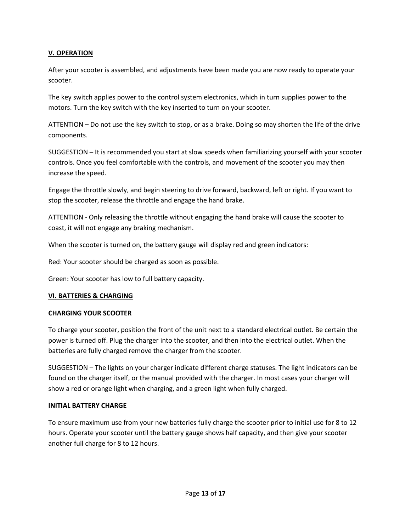# **EW-18 V. OPERATION**

After your scooter is assembled, and adjustments have been made you are now ready to operate your scooter.

The key switch applies power to the control system electronics, which in turn supplies power to the motors. Turn the key switch with the key inserted to turn on your scooter.

ATTENTION – Do not use the key switch to stop, or as a brake. Doing so may shorten the life of the drive components.

SUGGESTION – It is recommended you start at slow speeds when familiarizing yourself with your scooter controls. Once you feel comfortable with the controls, and movement of the scooter you may then increase the speed.

Engage the throttle slowly, and begin steering to drive forward, backward, left or right. If you want to stop the scooter, release the throttle and engage the hand brake.

ATTENTION - Only releasing the throttle without engaging the hand brake will cause the scooter to coast, it will not engage any braking mechanism.

When the scooter is turned on, the battery gauge will display red and green indicators:

Red: Your scooter should be charged as soon as possible.

Green: Your scooter has low to full battery capacity.

#### **VI. BATTERIES & CHARGING**

#### **CHARGING YOUR SCOOTER**

To charge your scooter, position the front of the unit next to a standard electrical outlet. Be certain the power is turned off. Plug the charger into the scooter, and then into the electrical outlet. When the batteries are fully charged remove the charger from the scooter.

SUGGESTION – The lights on your charger indicate different charge statuses. The light indicators can be found on the charger itself, or the manual provided with the charger. In most cases your charger will show a red or orange light when charging, and a green light when fully charged.

#### **INITIAL BATTERY CHARGE**

To ensure maximum use from your new batteries fully charge the scooter prior to initial use for 8 to 12 hours. Operate your scooter until the battery gauge shows half capacity, and then give your scooter another full charge for 8 to 12 hours.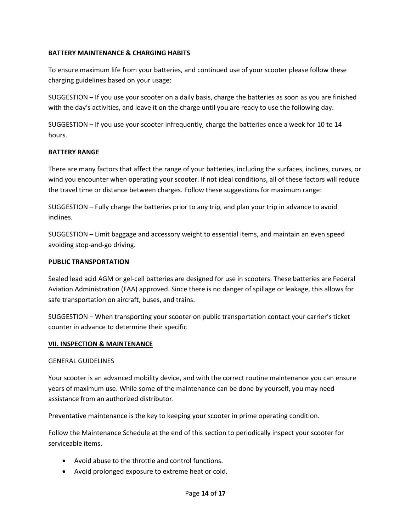# **EW-18 BATTERY MAINTENANCE & CHARGING HABITS**

To ensure maximum life from your batteries, and continued use of your scooter please follow these charging guidelines based on your usage:

SUGGESTION – If you use your scooter on a daily basis, charge the batteries as soon as you are finished with the day's activities, and leave it on the charge until you are ready to use the following day.

SUGGESTION – If you use your scooter infrequently, charge the batteries once a week for 10 to 14 hours.

#### **BATTERY RANGE**

There are many factors that affect the range of your batteries, including the surfaces, inclines, curves, or wind you encounter when operating your scooter. If not ideal conditions, all of these factors will reduce the travel time or distance between charges. Follow these suggestions for maximum range:

SUGGESTION – Fully charge the batteries prior to any trip, and plan your trip in advance to avoid inclines.

SUGGESTION – Limit baggage and accessory weight to essential items, and maintain an even speed avoiding stop-and-go driving.

#### **PUBLIC TRANSPORTATION**

Sealed lead acid AGM or gel-cell batteries are designed for use in scooters. These batteries are Federal Aviation Administration (FAA) approved. Since there is no danger of spillage or leakage, this allows for safe transportation on aircraft, buses, and trains.

SUGGESTION – When transporting your scooter on public transportation contact your carrier's ticket counter in advance to determine their specific

#### **VII. INSPECTION & MAINTENANCE**

#### GENERAL GUIDELINES

Your scooter is an advanced mobility device, and with the correct routine maintenance you can ensure years of maximum use. While some of the maintenance can be done by yourself, you may need assistance from an authorized distributor.

Preventative maintenance is the key to keeping your scooter in prime operating condition.

Follow the Maintenance Schedule at the end of this section to periodically inspect your scooter for serviceable items.

- Avoid abuse to the throttle and control functions.
- Avoid prolonged exposure to extreme heat or cold.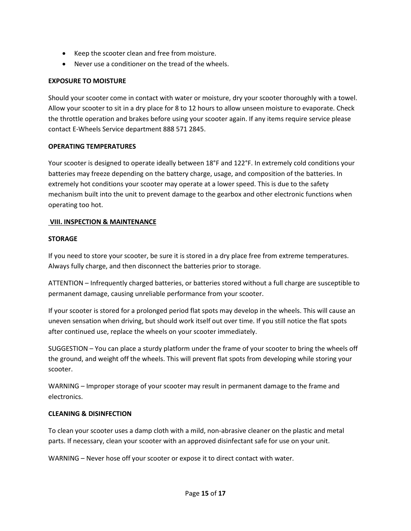- **EW-18**  Keep the scooter clean and free from moisture.
	- Never use a conditioner on the tread of the wheels.

### **EXPOSURE TO MOISTURE**

Should your scooter come in contact with water or moisture, dry your scooter thoroughly with a towel. Allow your scooter to sit in a dry place for 8 to 12 hours to allow unseen moisture to evaporate. Check the throttle operation and brakes before using your scooter again. If any items require service please contact E-Wheels Service department 888 571 2845.

#### **OPERATING TEMPERATURES**

Your scooter is designed to operate ideally between 18°F and 122°F. In extremely cold conditions your batteries may freeze depending on the battery charge, usage, and composition of the batteries. In extremely hot conditions your scooter may operate at a lower speed. This is due to the safety mechanism built into the unit to prevent damage to the gearbox and other electronic functions when operating too hot.

#### **VIII. INSPECTION & MAINTENANCE**

#### **STORAGE**

If you need to store your scooter, be sure it is stored in a dry place free from extreme temperatures. Always fully charge, and then disconnect the batteries prior to storage.

ATTENTION – Infrequently charged batteries, or batteries stored without a full charge are susceptible to permanent damage, causing unreliable performance from your scooter.

If your scooter is stored for a prolonged period flat spots may develop in the wheels. This will cause an uneven sensation when driving, but should work itself out over time. If you still notice the flat spots after continued use, replace the wheels on your scooter immediately.

SUGGESTION – You can place a sturdy platform under the frame of your scooter to bring the wheels off the ground, and weight off the wheels. This will prevent flat spots from developing while storing your scooter.

WARNING – Improper storage of your scooter may result in permanent damage to the frame and electronics.

#### **CLEANING & DISINFECTION**

To clean your scooter uses a damp cloth with a mild, non-abrasive cleaner on the plastic and metal parts. If necessary, clean your scooter with an approved disinfectant safe for use on your unit.

WARNING – Never hose off your scooter or expose it to direct contact with water.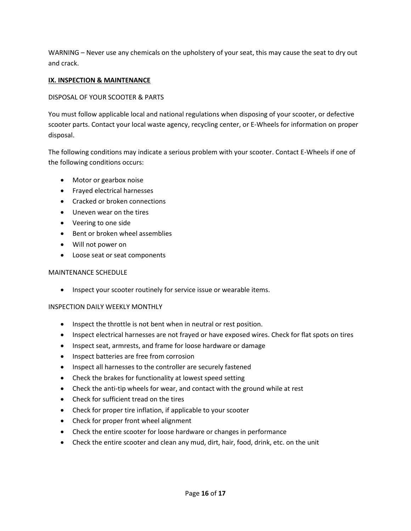WARNING – Never use any chemicals on the upholstery of your seat, this may cause the seat to dry out and crack.

### **IX. INSPECTION & MAINTENANCE**

### DISPOSAL OF YOUR SCOOTER & PARTS

You must follow applicable local and national regulations when disposing of your scooter, or defective scooter parts. Contact your local waste agency, recycling center, or E-Wheels for information on proper disposal.

The following conditions may indicate a serious problem with your scooter. Contact E-Wheels if one of the following conditions occurs:

- Motor or gearbox noise
- Frayed electrical harnesses
- Cracked or broken connections
- Uneven wear on the tires
- Veering to one side
- Bent or broken wheel assemblies
- Will not power on
- Loose seat or seat components

### MAINTENANCE SCHEDULE

• Inspect your scooter routinely for service issue or wearable items.

### INSPECTION DAILY WEEKLY MONTHLY

- Inspect the throttle is not bent when in neutral or rest position.
- Inspect electrical harnesses are not frayed or have exposed wires. Check for flat spots on tires
- Inspect seat, armrests, and frame for loose hardware or damage
- Inspect batteries are free from corrosion
- Inspect all harnesses to the controller are securely fastened
- Check the brakes for functionality at lowest speed setting
- Check the anti-tip wheels for wear, and contact with the ground while at rest
- Check for sufficient tread on the tires
- Check for proper tire inflation, if applicable to your scooter
- Check for proper front wheel alignment
- Check the entire scooter for loose hardware or changes in performance
- Check the entire scooter and clean any mud, dirt, hair, food, drink, etc. on the unit